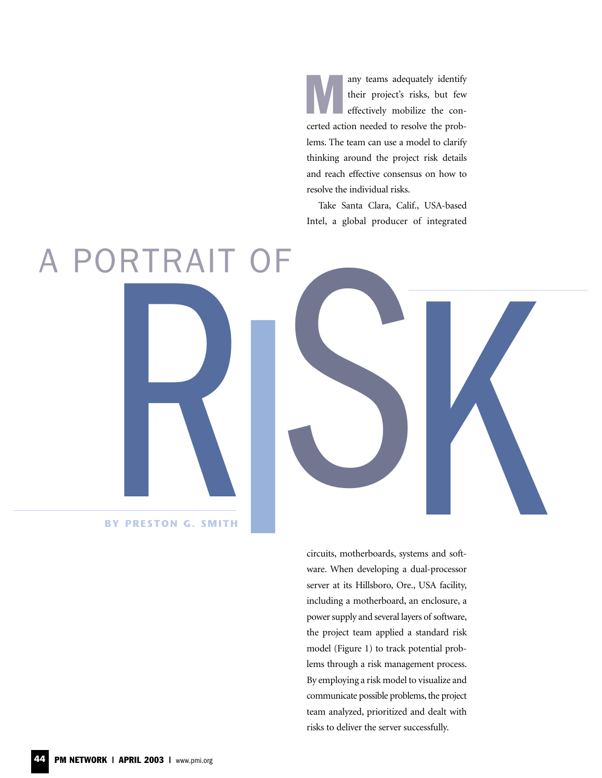M any teams adequately identify their project's risks, but few effectively mobilize the concerted action needed to resolve the problems. The team can use a model to clarify thinking around the project risk details and reach effective consensus on how to resolve the individual risks.

Take Santa Clara, Calif., USA-based Intel, a global producer of integrated



**BY PRESTON G. SMITH**

circuits, motherboards, systems and software. When developing a dual-processor server at its Hillsboro, Ore., USA facility, including a motherboard, an enclosure, a power supply and several layers of software, the project team applied a standard risk model (Figure 1) to track potential problems through a risk management process. By employing a risk model to visualize and communicate possible problems, the project team analyzed, prioritized and dealt with risks to deliver the server successfully.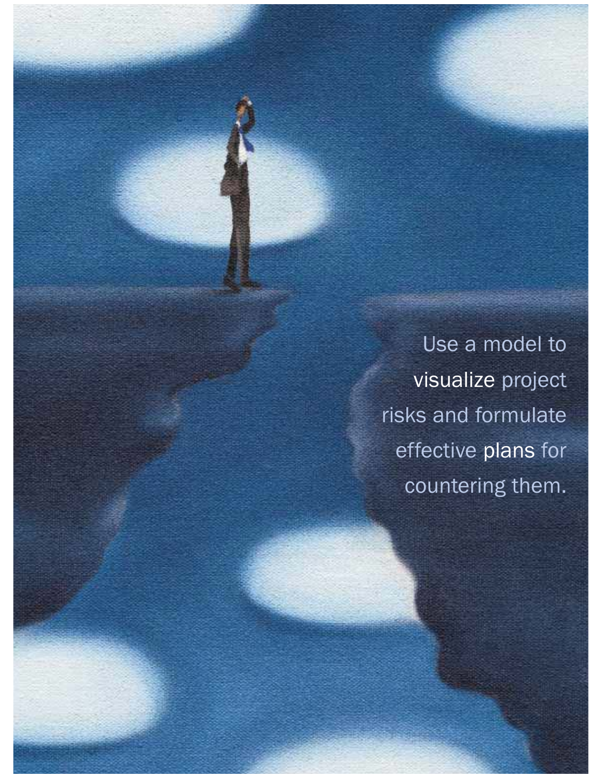Use a model to visualize project risks and formulate effective plans for countering them.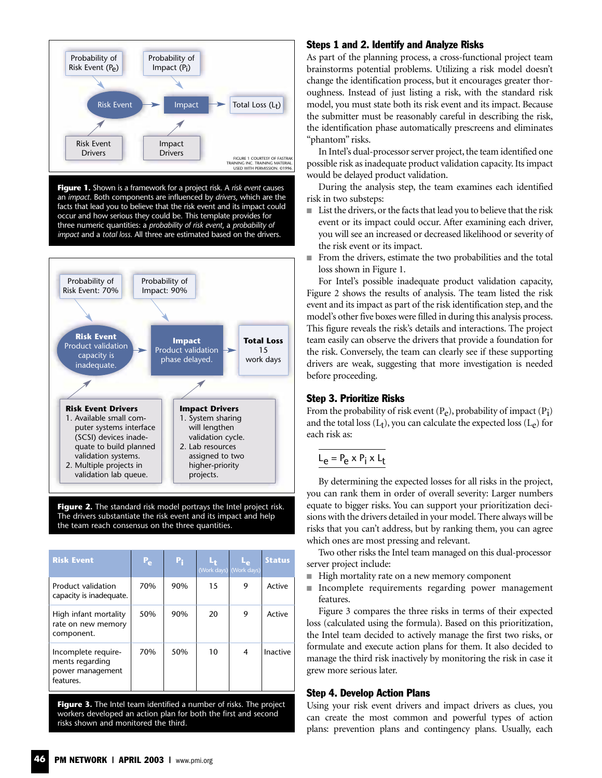

**Figure 1.** Shown is a framework for a project risk. A *risk event* causes an *impact*. Both components are influenced by *drivers*, which are the facts that lead you to believe that the risk event and its impact could occur and how serious they could be. This template provides for three numeric quantities: a *probability of risk event*, a *probability of impact* and a *total loss*. All three are estimated based on the drivers.



Figure 2. The standard risk model portrays the Intel project risk. The drivers substantiate the risk event and its impact and help the team reach consensus on the three quantities.

| <b>Risk Event</b>                                                       | $P_{\rm e}$ | $P_i$ |    | (Work days) (Work days) | <b>Status</b> |
|-------------------------------------------------------------------------|-------------|-------|----|-------------------------|---------------|
| Product validation<br>capacity is inadequate.                           | 70%         | 90%   | 15 | 9                       | Active        |
| High infant mortality<br>rate on new memory<br>component.               | 50%         | 90%   | 20 | 9                       | Active        |
| Incomplete require-<br>ments regarding<br>power management<br>features. | 70%         | 50%   | 10 | 4                       | Inactive      |

**Figure 3.** The Intel team identified a number of risks. The project workers developed an action plan for both the first and second risks shown and monitored the third.

## Steps 1 and 2. Identify and Analyze Risks

As part of the planning process, a cross-functional project team brainstorms potential problems. Utilizing a risk model doesn't change the identification process, but it encourages greater thoroughness. Instead of just listing a risk, with the standard risk model, you must state both its risk event and its impact. Because the submitter must be reasonably careful in describing the risk, the identification phase automatically prescreens and eliminates "phantom" risks.

In Intel's dual-processor server project, the team identified one possible risk as inadequate product validation capacity. Its impact would be delayed product validation.

During the analysis step, the team examines each identified risk in two substeps:

- List the drivers, or the facts that lead you to believe that the risk event or its impact could occur. After examining each driver, you will see an increased or decreased likelihood or severity of the risk event or its impact.
- From the drivers, estimate the two probabilities and the total loss shown in Figure 1.

For Intel's possible inadequate product validation capacity, Figure 2 shows the results of analysis. The team listed the risk event and its impact as part of the risk identification step, and the model's other five boxes were filled in during this analysis process. This figure reveals the risk's details and interactions. The project team easily can observe the drivers that provide a foundation for the risk. Conversely, the team can clearly see if these supporting drivers are weak, suggesting that more investigation is needed before proceeding.

#### Step 3. Prioritize Risks

From the probability of risk event  $(P_e)$ , probability of impact  $(P_i)$ and the total loss  $(L_t)$ , you can calculate the expected loss  $(L_e)$  for each risk as:

# $L_e = P_e \times P_i \times L_t$

By determining the expected losses for all risks in the project, you can rank them in order of overall severity: Larger numbers equate to bigger risks. You can support your prioritization decisions with the drivers detailed in your model. There always will be risks that you can't address, but by ranking them, you can agree which ones are most pressing and relevant.

Two other risks the Intel team managed on this dual-processor server project include:

- High mortality rate on a new memory component
- Incomplete requirements regarding power management features.

Figure 3 compares the three risks in terms of their expected loss (calculated using the formula). Based on this prioritization, the Intel team decided to actively manage the first two risks, or formulate and execute action plans for them. It also decided to manage the third risk inactively by monitoring the risk in case it grew more serious later.

### Step 4. Develop Action Plans

Using your risk event drivers and impact drivers as clues, you can create the most common and powerful types of action plans: prevention plans and contingency plans. Usually, each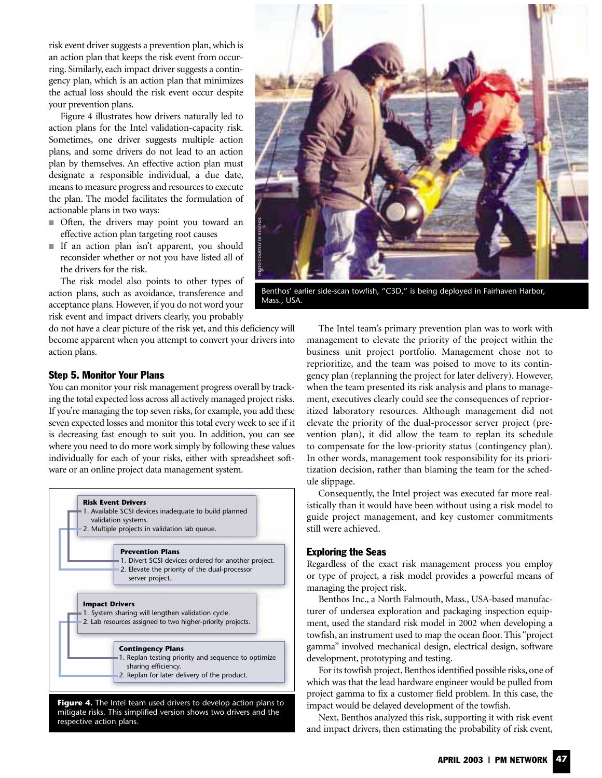risk event driver suggests a prevention plan, which is an action plan that keeps the risk event from occurring. Similarly, each impact driver suggests a contingency plan, which is an action plan that minimizes the actual loss should the risk event occur despite your prevention plans.

Figure 4 illustrates how drivers naturally led to action plans for the Intel validation-capacity risk. Sometimes, one driver suggests multiple action plans, and some drivers do not lead to an action plan by themselves. An effective action plan must designate a responsible individual, a due date, means to measure progress and resources to execute the plan. The model facilitates the formulation of actionable plans in two ways:

- Often, the drivers may point you toward an effective action plan targeting root causes
- If an action plan isn't apparent, you should reconsider whether or not you have listed all of the drivers for the risk.

The risk model also points to other types of action plans, such as avoidance, transference and acceptance plans. However, if you do not word your risk event and impact drivers clearly, you probably

do not have a clear picture of the risk yet, and this deficiency will become apparent when you attempt to convert your drivers into action plans.

## Step 5. Monitor Your Plans

You can monitor your risk management progress overall by tracking the total expected loss across all actively managed project risks. If you're managing the top seven risks, for example, you add these seven expected losses and monitor this total every week to see if it is decreasing fast enough to suit you. In addition, you can see where you need to do more work simply by following these values individually for each of your risks, either with spreadsheet software or an online project data management system.



mitigate risks. This simplified version shows two drivers and the respective action plans.



Benthos' earlier side-scan towfish, "C3D," is being deployed in Fairhaven Harbor, Mass., USA.

The Intel team's primary prevention plan was to work with management to elevate the priority of the project within the business unit project portfolio. Management chose not to reprioritize, and the team was poised to move to its contingency plan (replanning the project for later delivery). However, when the team presented its risk analysis and plans to management, executives clearly could see the consequences of reprioritized laboratory resources. Although management did not elevate the priority of the dual-processor server project (prevention plan), it did allow the team to replan its schedule to compensate for the low-priority status (contingency plan). In other words, management took responsibility for its prioritization decision, rather than blaming the team for the schedule slippage.

Consequently, the Intel project was executed far more realistically than it would have been without using a risk model to guide project management, and key customer commitments still were achieved.

#### Exploring the Seas

Regardless of the exact risk management process you employ or type of project, a risk model provides a powerful means of managing the project risk.

Benthos Inc., a North Falmouth, Mass., USA-based manufacturer of undersea exploration and packaging inspection equipment, used the standard risk model in 2002 when developing a towfish, an instrument used to map the ocean floor. This "project gamma" involved mechanical design, electrical design, software development, prototyping and testing.

For its towfish project, Benthos identified possible risks, one of which was that the lead hardware engineer would be pulled from project gamma to fix a customer field problem. In this case, the impact would be delayed development of the towfish.

Next, Benthos analyzed this risk, supporting it with risk event and impact drivers, then estimating the probability of risk event,